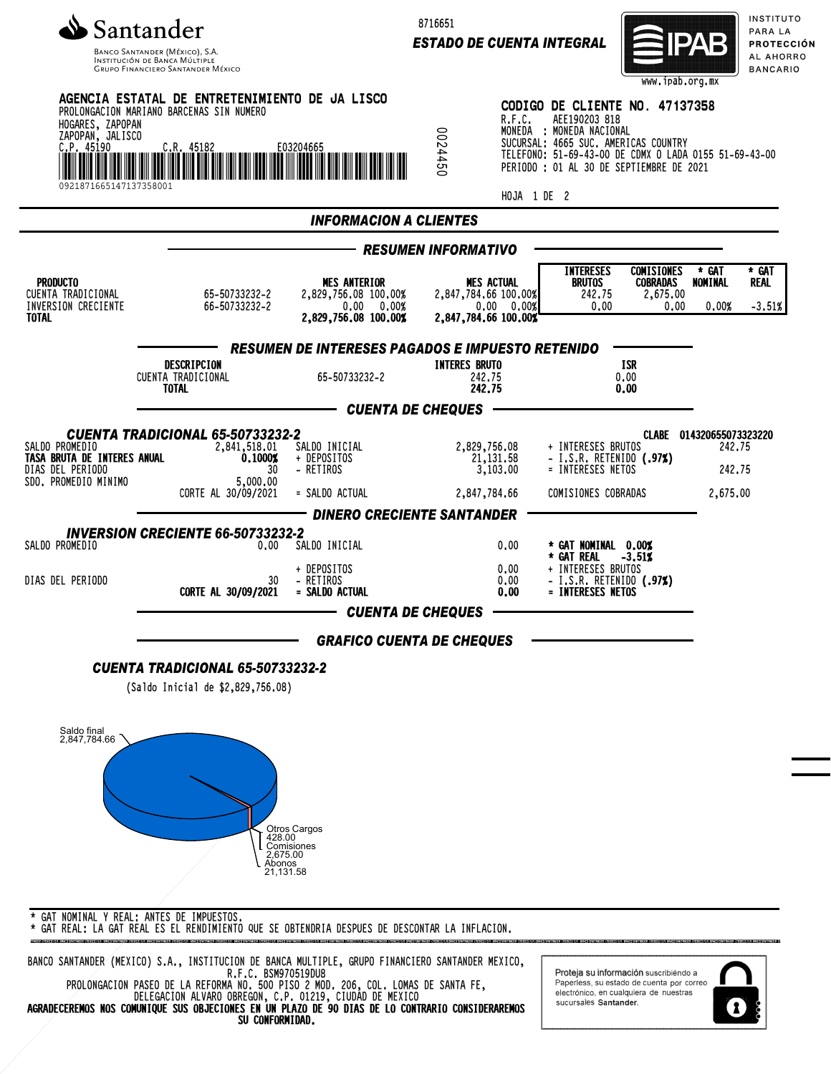

Banco Santander (México), S.A.<br>Institución de Banca Múltiple<br>Grupo Financiero Santander México

8716651

*ESTADO DE CUENTA INTEGRAL*



INSTITUTO PARA LA **PROTECCIÓN** AL AHORRO **BANCARIO** 

| HOGARES, ZAPOPAN<br>ZAPOPAN, JALISCO<br>C.P. 45190<br>0921871665147137358001              | AGENCIA ESTATAL DE ENTRETENIMIENTO DE JA LISCO<br>PROLONGACION MARIANO BARCENAS SIN NUMERO                  | E03204665                                                                         | 0954450                                  | R.F.C.<br>HOJA 1 DE 2                                                           | CODIGO DE CLIENTE NO. 47137358<br>AEE190203 818<br>MONEDA : MONEDA NACIONAL<br>SUCURSAL: 4665 SUC. AMERICAS COUNTRY<br>TELEFONO: 51-69-43-00 DE CDMX O LADA 0155 51-69-43-00<br>PERIODO : 01 AL 30 DE SEPTIEMBRE DE 2021 |                                                          |                                                          |                           |
|-------------------------------------------------------------------------------------------|-------------------------------------------------------------------------------------------------------------|-----------------------------------------------------------------------------------|------------------------------------------|---------------------------------------------------------------------------------|--------------------------------------------------------------------------------------------------------------------------------------------------------------------------------------------------------------------------|----------------------------------------------------------|----------------------------------------------------------|---------------------------|
|                                                                                           |                                                                                                             | <b>INFORMACION A CLIENTES</b>                                                     |                                          |                                                                                 |                                                                                                                                                                                                                          |                                                          |                                                          |                           |
|                                                                                           |                                                                                                             |                                                                                   | <b>RESUMEN INFORMATIVO</b>               |                                                                                 |                                                                                                                                                                                                                          |                                                          |                                                          |                           |
| <b>PRODUCTO</b><br>CUENTA TRADICIONAL<br>INVERSION CRECIENTE<br><b>TOTAL</b>              | 65-50733232-2<br>66-50733232-2                                                                              | <b>MES ANTERIOR</b><br>2,829,756.08 100.00%<br>0.00 0.00%<br>2,829,756.08 100.00% |                                          | <b>MES ACTUAL</b><br>2,847,784.66 100.00%<br>0.00 0.00%<br>2,847,784,66 100,00% | <b>INTERESES</b><br><b>BRUTOS</b><br>242.75<br>0.00                                                                                                                                                                      | <b>COMISIONES</b><br><b>COBRADAS</b><br>2,675.00<br>0,00 | * GAT<br>NOMINAL<br>0.00%                                | * GAT<br>Real<br>$-3.51%$ |
|                                                                                           |                                                                                                             | <b>RESUMEN DE INTERESES PAGADOS E IMPUESTO RETENIDO</b>                           |                                          |                                                                                 |                                                                                                                                                                                                                          |                                                          |                                                          |                           |
|                                                                                           | DESCRIPCION<br>CUENTA TRADICIONAL<br><b>TOTAL</b>                                                           | 65-50733232-2                                                                     | <b>INTERES BRUTO</b><br>242.75<br>242.75 |                                                                                 | <b>ISR</b><br>0.00<br>0.00                                                                                                                                                                                               |                                                          |                                                          |                           |
|                                                                                           |                                                                                                             | CUENTA DE CHEQUES                                                                 |                                          |                                                                                 |                                                                                                                                                                                                                          |                                                          |                                                          |                           |
| SALDO PROMEDIO<br>TASA BRUTA DE INTERES ANUAL<br>DIAS DEL PERIODO<br>SDO. PROMEDIO MINIMO | <b>CUENTA TRADICIONAL 65-50733232-2</b><br>2,841,518.01<br>0.10002<br>30<br>5,000.00<br>CORTE AL 30/09/2021 | SALDO INICIAL<br>+ DEPOSITOS<br>- RETIROS<br>= SALDO ACTUAL                       |                                          | 2,829,756.08<br>21, 131, 58<br>3,103.00<br>2,847,784.66                         | + INTERESES BRUTOS<br>- I.S.R. RETENIDO $(.97%)$<br>= INTERESES NETOS<br>COMISIONES COBRADAS                                                                                                                             |                                                          | CLABE 014320655073323220<br>242.75<br>242.75<br>2,675,00 |                           |
|                                                                                           |                                                                                                             | <b>DINERO CRECIENTE SANTANDER</b>                                                 |                                          |                                                                                 |                                                                                                                                                                                                                          |                                                          |                                                          |                           |
| SALDO PROMEDIO                                                                            | <b>INVERSION CRECIENTE 66-50733232-2</b><br>0.00                                                            | SALDO INICIAL<br>+ DEPOSITOS                                                      |                                          | 0.00<br>0.00                                                                    | * GAT NOMINAL 0.00%<br>* GAT REAL<br>+ INTERESES BRUTOS                                                                                                                                                                  | $-3.51%$                                                 |                                                          |                           |
| DIAS DEL PERIODO                                                                          | 30<br>CORTE AL 30/09/2021                                                                                   | - RETIROS<br>= SALDO ACTUAL<br><b>CUENTA DE CHEQUES</b>                           |                                          | 0.00<br>0.00                                                                    | - I.S.R. RETENIDO (.97%)<br>= INTERESES NETOS                                                                                                                                                                            |                                                          |                                                          |                           |
|                                                                                           |                                                                                                             | <b>GRAFICO CUENTA DE CHEQUES</b>                                                  |                                          |                                                                                 |                                                                                                                                                                                                                          |                                                          |                                                          |                           |
|                                                                                           | <b>CUENTA TRADICIONAL 65-50733232-2</b><br>(Saldo Inicial de \$2,829,756.08)                                |                                                                                   |                                          |                                                                                 |                                                                                                                                                                                                                          |                                                          |                                                          |                           |
| Saldo final<br>2,847,784.66                                                               | 428.00<br>2,675.00<br>Abonos<br>21,131.58                                                                   | <b>Otros Cargos</b><br>Comisiones                                                 |                                          |                                                                                 |                                                                                                                                                                                                                          |                                                          |                                                          |                           |

\* GAT REAL: LA GAT REAL ES EL RENDIMIENTO QUE SE OBTENDRIA DESPUES DE DESCONTAR LA INFLACION.

BANCO SANTANDER (MEXICO) S.A., INSTITUCION DE BANCA MULTIPLE, GRUPO FINANCIERO SANTANDER MEXICO, R.F.C. BSM970519DU8 PROLONGACION PASEO DE LA REFORMA NO. 500 PISO 2 MOD. 206, COL. LOMAS DE SANTA FE, DELEGACION ALVARO OBREGON, C.P. 01219, CIUDAD DE MEXICO

AGRADECEREMOS NOS COMUNIQUE SUS OBJECIONES EN UN PLAZO DE 90 DIAS DE LO CONTRARIO CONSIDERAREMOS SU CONFORMIDAD.

Proteja su información suscribiendo a Paperless, su estado de cuenta por correo<br>electrónico, en cualquiera de nuestras sucursales Santander.

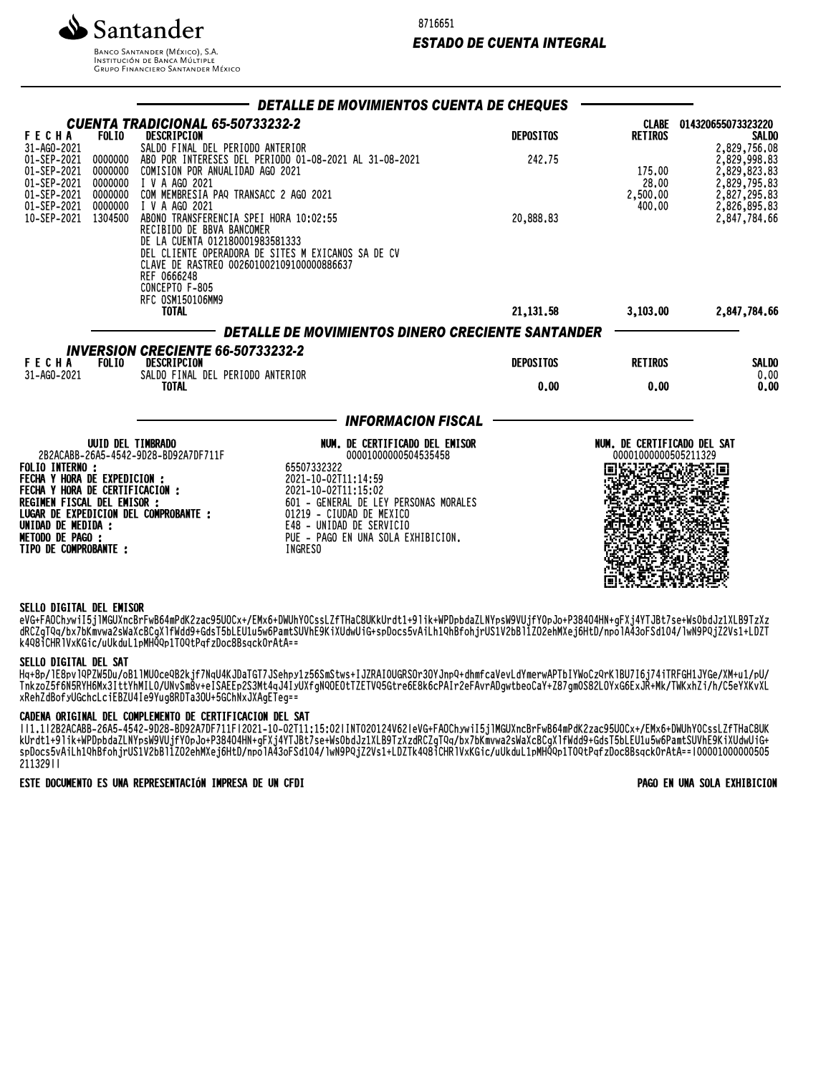Santander

**BANCO SANTANDER (MÉXICO), S.A. INSTITUCIÓN DE BANCA MÚLTIPLE**<br>INSTITUCIÓN DE BANCA MÚLTIPLE<br>GRUPO FINANCIERO SANTANDER MÉXICO 8716651

## *ESTADO DE CUENTA INTEGRAL*

|                                                                                 |                                          |                                                                                                                                                             | DETALLE DE MOVIMIENTOS CUENTA DE CHEQUES                                                        |                  |                                                     |                                                                              |
|---------------------------------------------------------------------------------|------------------------------------------|-------------------------------------------------------------------------------------------------------------------------------------------------------------|-------------------------------------------------------------------------------------------------|------------------|-----------------------------------------------------|------------------------------------------------------------------------------|
| <b>FECHA</b><br>31-AG0-2021                                                     | <b>FOLIO</b>                             | <b>CUENTA TRADICIONAL 65-50733232-2</b><br>DESCRIPCION<br>SALDO FINAL DEL PERIODO ANTERIOR                                                                  |                                                                                                 | <b>DEPOSITOS</b> | <b>RETIROS</b>                                      | CLABE 014320655073323220<br><b>SALDO</b><br>2,829,756.08                     |
| 01-SEP-2021<br>01-SEP-2021<br>01-SEP-2021<br>01-SEP-2021<br>01-SEP-2021 0000000 | 0000000<br>0000000<br>0000000<br>0000000 | COMISION POR ANUALIDAD AGO 2021<br>I V A AGO 2021<br>COM MEMBRESIA PAQ TRANSACC 2 AGO 2021<br>I V A AGO 2021                                                | ABO POR INTERESES DEL PERIODO 01-08-2021 AL 31-08-2021                                          | 242.75           | 175.00<br>28.00<br>2,500.00<br>400.00               | 2,829,998.83<br>2,829,823.83<br>2,829,795.83<br>2,827,295.83<br>2,826,895.83 |
| 10-SEP-2021                                                                     | 1304500                                  | ABONO TRANSFERENCIA SPEI HORA 10:02:55<br>RECIBIDO DE BBVA BANCOMER<br>DE LA CUENTA 012180001983581333<br>REF 0666248<br>CONCEPTO F-805<br>RFC 0SM150106MM9 | DEL CLIENTE OPERADORA DE SITES M EXICANOS SA DE CV<br>CLAVE DE RASTREO 002601002109100000886637 | 20,888.83        |                                                     | 2,847,784.66                                                                 |
|                                                                                 |                                          | <b>TOTAL</b>                                                                                                                                                |                                                                                                 | 21, 131.58       | 3,103.00                                            | 2,847,784.66                                                                 |
|                                                                                 |                                          |                                                                                                                                                             | DETALLE DE MOVIMIENTOS DINERO CRECIENTE SANTANDER                                               |                  |                                                     |                                                                              |
| <b>FECHA</b><br>31-AG0-2021                                                     | <b>FOLIO</b>                             | <b>INVERSION CRECIENTE 66-50733232-2</b><br>DESCRIPCION<br>SALDO FINAL DEL PERIODO ANTERIOR                                                                 |                                                                                                 | <b>DEPOSITOS</b> | <b>RETIROS</b>                                      | <b>SALDO</b><br>0,00                                                         |
|                                                                                 |                                          | <b>TOTAL</b>                                                                                                                                                |                                                                                                 | 0.00             | 0.00                                                | 0.00                                                                         |
|                                                                                 |                                          |                                                                                                                                                             | <b>INFORMACION FISCAL</b>                                                                       |                  |                                                     |                                                                              |
|                                                                                 | <b>UUID DEL TIMBRADO</b>                 | 2B2ACABB-26A5-4542-9D28-BD92A7DF711F                                                                                                                        | NUM. DE CERTIFICADO DEL EMISOR<br>00001000000504535458                                          |                  | NUM. DE CERTIFICADO DEL SAT<br>00001000000505211329 |                                                                              |
| <b>FOLIO INTERNO :</b><br><b>FECHA Y HORA DE EXPEDICION :</b>                   |                                          |                                                                                                                                                             | 65507332322<br>2021-10-02T11:14:59                                                              |                  |                                                     |                                                                              |
| FECHA Y HORA DE CERTIFICACION :<br>REGIMEN FISCAL DEL EMISOR :                  |                                          |                                                                                                                                                             | 2021-10-02T11:15:02<br>601 - GENERAL DE LEY PERSONAS MORALES                                    |                  |                                                     |                                                                              |
|                                                                                 |                                          | LUGAR DE EXPEDICION DEL COMPROBANTE :                                                                                                                       | 01219 - CIUDAD DE MEXICO<br>E48 - UNIDAD DE SERVICIO                                            |                  |                                                     |                                                                              |
| UNIDAD DE MEDIDA :<br><b>METODO DE PAGO :</b>                                   |                                          |                                                                                                                                                             | PUE - PAGO EN UNA SOLA EXHIBICION.                                                              |                  |                                                     |                                                                              |
| <b>TIPO DE COMPROBANTE :</b>                                                    |                                          |                                                                                                                                                             | INGRESO                                                                                         |                  |                                                     |                                                                              |

### SELLO DIGITAL DEL EMISOR

eVG+FAOChywiI5jlMGUXncBrFwB64mPdK2zac95UOCx+/EMx6+DWUhY0CssLZfTHaC8UKkUrdt1+9lik+WPDpbdaZLNYpsW9VUjfY0pJo+P384O4HN+gFXj4YTJBt7se+Ws0bdJz1XLB9TzXz dRCZgTQq/bx7bKmvwa2sWaXcBCgXlfWdd9+GdsT5bLEU1u5w6PamtSUVhE9KiXUdwUiG+spDocs5vAiLh1QhBfohjrUS1V2bBl1ZO2ehMXej6HtD/npolA43oFSd104/lwN9PQjZ2Vs1+LDZT k4Q8iCHRlVxKGic/uUkduL1pMHQQp1T0QtPqfzDoc8Bsqck0rAtA==

#### SELLO DIGITAL DEL SAT

Hq+8p/lE8pvlQPZW5Du/oB1lMU0ceQB2kjf7NqU4KJDaTGT7JSehpy1z56SmStws+IJZRAI0UGRSOr3OYJnpQ+dhmfcaVevLdYmerwAPTbIYWoCzQrKlBU7I6j74iTRFGH1JYGe/XM+u1/pU/ TnkzoZ5f6N5RYH6Mx3IttYhMIL0/UNvSm8v+eISAEEp2S3Mt4qJ4IyUXfgNQOEOtTZETVQ5Gtre6E8k6cPAIr2eFAvrADgwtbeoCaY+Z87gm0S82LOYxG6ExJR+Mk/TWKxhZi/h/C5eYXKvXL xRehZdBofyUGchcLciEBZU4Ie9Yug8RDTa3OU+5GChNxJXAgETeg==

### CADENA ORIGINAL DEL COMPLEMENTO DE CERTIFICACION DEL SAT

||1.1|2B2ACABB-26A5-4542-9D28-BD92A7DF711F|2021-10-02T11:15:02|INT020124V62|eVG+FAOChywiI5jlMGUXncBrFwB64mPdK2zac95UOCx+/EMx6+DWUhY0CssLZfTHaC8UK KUrdt1+9|IK+WPDpOdZLNYpSW9VUjfYVPJO+P384V4MN+gFXj4YTJDt/Se+WSVDdJZ1XLD9TZXZdRCZgTQq/DX/DKWVWaZSWaXCDCgXITWd09+GdST3DLEU1u3W0PaMtSUVNE9KIXUQWUiG+ spDocs5vAiLh1QhBfohjrUS1V2bBl1ZO2ehMXej6HtD/npolA43oFSd104/lwN9PQjZ2Vs1+LDZTk4Q8iCHRlVxKGic/uUkduL1pMHQQp1T0QtPqfzDoc8Bsqck0rAtA==|00001000000505 211329||

### ESTE DOCUMENTO ES UNA REPRESENTACIÓN IMPRESA DE UN CFDI PAGO EN UNA SOLA EXHIBICION

前数要保险效果